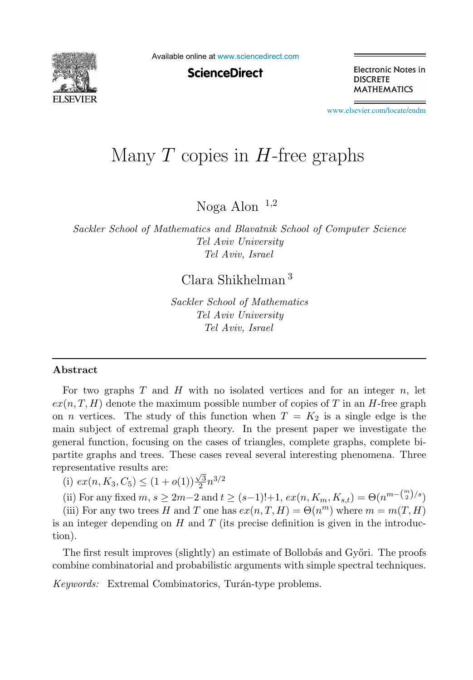

Available online at [www.sciencedirect.com](http://www.sciencedirect.com)

**ScienceDirect** 

Electronic Notes in **DISCRETE MATHEMATICS** 

[www.elsevier.com/locate/endm](http://www.elsevier.com/locate/endm)

# Many  $T$  copies in  $H$ -free graphs

Noga Alon  $1,2$ 

Sackler School of Mathematics and Blavatnik School of Computer Science Tel Aviv University Tel Aviv, Israel

Clara Shikhelman <sup>3</sup>

Sackler School of Mathematics Tel Aviv University Tel Aviv, Israel

#### Abstract

For two graphs  $T$  and  $H$  with no isolated vertices and for an integer  $n$ , let  $ex(n, T, H)$  denote the maximum possible number of copies of T in an H-free graph on *n* vertices. The study of this function when  $T = K_2$  is a single edge is the main subject of extremal graph theory. In the present paper we investigate the general function, focusing on the cases of triangles, complete graphs, complete bipartite graphs and trees. These cases reveal several interesting phenomena. Three representative results are:

(i)  $ex(n, K_3, C_5) \leq (1 + o(1))\frac{\sqrt{3}}{2}n^{3/2}$ 

(ii) For any fixed  $m, s \ge 2m-2$  and  $t \ge (s-1)!+1$ ,  $ex(n, K_m, K_{s,t}) = \Theta(n^{m-{m \choose 2}/s})$ 

(iii) For any two trees H and T one has  $ex(n,T,H) = \Theta(n^m)$  where  $m = m(T,H)$ is an integer depending on  $H$  and  $T$  (its precise definition is given in the introduction).

The first result improves (slightly) an estimate of Bollobás and Győri. The proofs combine combinatorial and probabilistic arguments with simple spectral techniques.

Keywords: Extremal Combinatorics, Turán-type problems.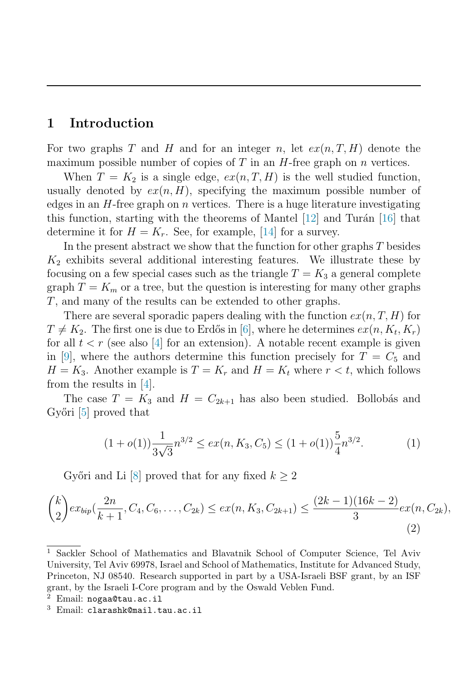## 1 Introduction

For two graphs T and H and for an integer n, let  $ex(n, T, H)$  denote the maximum possible number of copies of  $T$  in an  $H$ -free graph on  $n$  vertices.

When  $T = K_2$  is a single edge,  $ex(n, T, H)$  is the well studied function, usually denoted by  $ex(n, H)$ , specifying the maximum possible number of edges in an  $H$ -free graph on  $n$  vertices. There is a huge literature investigating this function, starting with the theorems of Mantel  $[12]$  and Turán  $[16]$  that determine it for  $H = K_r$ . See, for example, [\[14\]](#page-6-2) for a survey.

In the present abstract we show that the function for other graphs T besides  $K_2$  exhibits several additional interesting features. We illustrate these by focusing on a few special cases such as the triangle  $T = K_3$  a general complete graph  $T = K_m$  or a tree, but the question is interesting for many other graphs T, and many of the results can be extended to other graphs.

There are several sporadic papers dealing with the function  $ex(n, T, H)$  for  $T \neq K_2$ . The first one is due to Erdős in [\[6\]](#page-6-3), where he determines  $ex(n, K_t, K_r)$ for all  $t < r$  (see also [\[4\]](#page-5-0) for an extension). A notable recent example is given in [\[9\]](#page-6-4), where the authors determine this function precisely for  $T = C_5$  and  $H = K_3$ . Another example is  $T = K_r$  and  $H = K_t$  where  $r < t$ , which follows from the results in [\[4\]](#page-5-0).

The case  $T = K_3$  and  $H = C_{2k+1}$  has also been studied. Bollobás and Győri [\[5\]](#page-5-1) proved that

<span id="page-1-1"></span><span id="page-1-0"></span>
$$
(1+o(1))\frac{1}{3\sqrt{3}}n^{3/2} \le ex(n, K_3, C_5) \le (1+o(1))\frac{5}{4}n^{3/2}.
$$
 (1)

Győri and Li [\[8\]](#page-6-5) proved that for any fixed  $k \geq 2$ 

$$
\binom{k}{2}ex_{bip}(\frac{2n}{k+1},C_4,C_6,\ldots,C_{2k}) \le ex(n,K_3,C_{2k+1}) \le \frac{(2k-1)(16k-2)}{3}ex(n,C_{2k}),
$$
\n(2)

<sup>1</sup> Sackler School of Mathematics and Blavatnik School of Computer Science, Tel Aviv University, Tel Aviv 69978, Israel and School of Mathematics, Institute for Advanced Study, Princeton, NJ 08540. Research supported in part by a USA-Israeli BSF grant, by an ISF grant, by the Israeli I-Core program and by the Oswald Veblen Fund.

Email: nogaa@tau.ac.il

<sup>3</sup> Email: clarashk@mail.tau.ac.il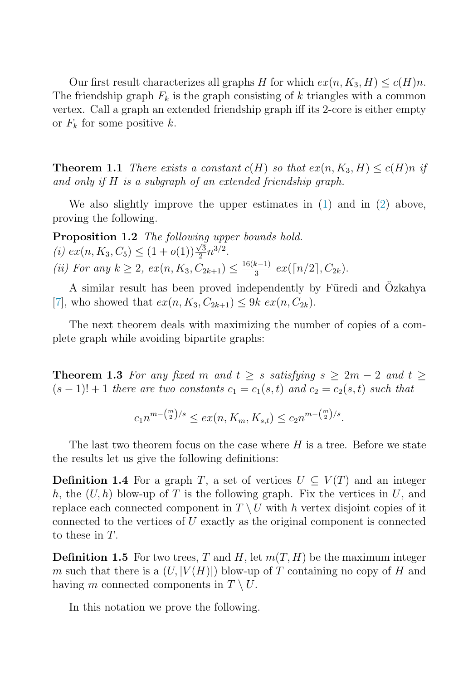<span id="page-2-0"></span>Our first result characterizes all graphs H for which  $ex(n, K_3, H) \leq c(H)n$ . The friendship graph  $F_k$  is the graph consisting of k triangles with a common vertex. Call a graph an extended friendship graph iff its 2-core is either empty or  $F_k$  for some positive k.

**Theorem 1.1** There exists a constant  $c(H)$  so that  $ex(n, K_3, H) \leq c(H)n$  if and only if H is a subgraph of an extended friendship graph.

We also slightly improve the upper estimates in  $(1)$  and in  $(2)$  above, proving the following.

Proposition 1.2 The following upper bounds hold. (i)  $ex(n, K_3, C_5) \leq (1 + o(1)) \frac{\sqrt{3}}{2} n^{3/2}.$ (ii) For any  $k \geq 2$ ,  $ex(n, K_3, C_{2k+1}) \leq \frac{16(k-1)}{3} ex(\lceil n/2 \rceil, C_{2k}).$ 

A similar result has been proved independently by Füredi and Özkahya [\[7\]](#page-6-6), who showed that  $ex(n, K_3, C_{2k+1}) \leq 9k \ ex(n, C_{2k}).$ 

<span id="page-2-1"></span>The next theorem deals with maximizing the number of copies of a complete graph while avoiding bipartite graphs:

**Theorem 1.3** For any fixed m and  $t \geq s$  satisfying  $s \geq 2m - 2$  and  $t \geq$  $(s-1)! + 1$  there are two constants  $c_1 = c_1(s,t)$  and  $c_2 = c_2(s,t)$  such that

$$
c_1n^{m-{m \choose 2}/s} \le ex(n, K_m, K_{s,t}) \le c_2n^{m-{m \choose 2}/s}.
$$

The last two theorem focus on the case where  $H$  is a tree. Before we state the results let us give the following definitions:

**Definition 1.4** For a graph T, a set of vertices  $U \subseteq V(T)$  and an integer h, the  $(U, h)$  blow-up of T is the following graph. Fix the vertices in U, and replace each connected component in  $T \setminus U$  with h vertex disjoint copies of it connected to the vertices of U exactly as the original component is connected to these in T.

**Definition 1.5** For two trees, T and H, let  $m(T, H)$  be the maximum integer m such that there is a  $(U, |V(H)|)$  blow-up of T containing no copy of H and having m connected components in  $T \setminus U$ .

In this notation we prove the following.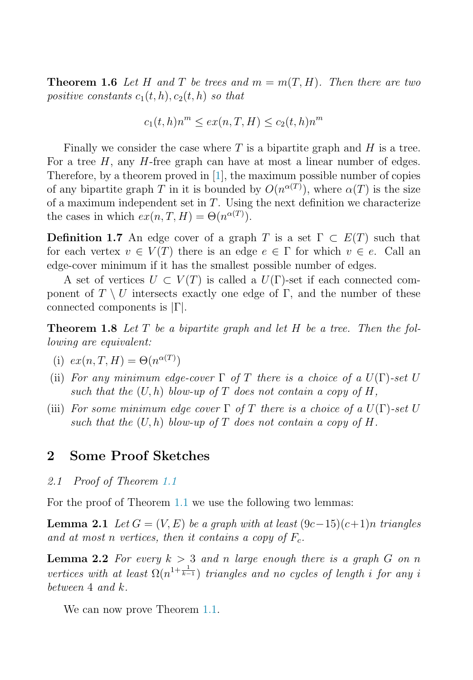**Theorem 1.6** Let H and T be trees and  $m = m(T, H)$ . Then there are two positive constants  $c_1(t, h), c_2(t, h)$  so that

$$
c_1(t,h)n^m \le ex(n,T,H) \le c_2(t,h)n^m
$$

Finally we consider the case where  $T$  is a bipartite graph and  $H$  is a tree. For a tree  $H$ , any  $H$ -free graph can have at most a linear number of edges. Therefore, by a theorem proved in [\[1\]](#page-5-2), the maximum possible number of copies of any bipartite graph T in it is bounded by  $O(n^{\alpha(T)})$ , where  $\alpha(T)$  is the size of a maximum independent set in  $T$ . Using the next definition we characterize the cases in which  $ex(n, T, H) = \Theta(n^{\alpha(T)})$ .

**Definition 1.7** An edge cover of a graph T is a set  $\Gamma \subset E(T)$  such that for each vertex  $v \in V(T)$  there is an edge  $e \in \Gamma$  for which  $v \in e$ . Call an edge-cover minimum if it has the smallest possible number of edges.

A set of vertices  $U \subset V(T)$  is called a  $U(\Gamma)$ -set if each connected component of  $T \setminus U$  intersects exactly one edge of  $\Gamma$ , and the number of these connected components is |Γ|.

**Theorem 1.8** Let T be a bipartite graph and let H be a tree. Then the following are equivalent:

- (i)  $ex(n, T, H) = \Theta(n^{\alpha(T)})$
- (ii) For any minimum edge-cover  $\Gamma$  of T there is a choice of a  $U(\Gamma)$ -set U such that the  $(U, h)$  blow-up of T does not contain a copy of H,
- (iii) For some minimum edge cover  $\Gamma$  of T there is a choice of a  $U(\Gamma)$ -set U such that the  $(U, h)$  blow-up of T does not contain a copy of H.

## <span id="page-3-0"></span>2 Some Proof Sketches

2.1 Proof of Theorem [1.1](#page-2-0)

<span id="page-3-1"></span>For the proof of Theorem [1.1](#page-2-0) we use the following two lemmas:

**Lemma 2.1** Let  $G = (V, E)$  be a graph with at least  $(9c-15)(c+1)n$  triangles and at most n vertices, then it contains a copy of  $F_c$ .

**Lemma 2.2** For every  $k > 3$  and n large enough there is a graph G on n vertices with at least  $\Omega(n^{1+\frac{1}{k-1}})$  triangles and no cycles of length i for any i between  $4$  and  $k$ .

We can now prove Theorem [1.1.](#page-2-0)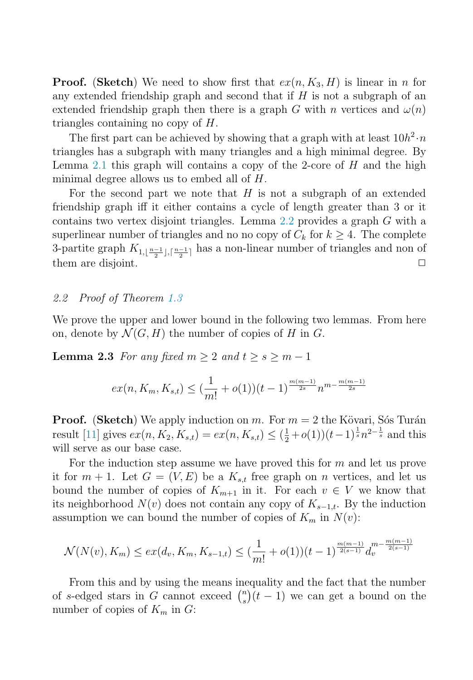**Proof.** (Sketch) We need to show first that  $ex(n, K_3, H)$  is linear in n for any extended friendship graph and second that if  $H$  is not a subgraph of an extended friendship graph then there is a graph G with n vertices and  $\omega(n)$ triangles containing no copy of H.

The first part can be achieved by showing that a graph with at least  $10h^2 \cdot n$ triangles has a subgraph with many triangles and a high minimal degree. By Lemma [2.1](#page-3-0) this graph will contains a copy of the 2-core of  $H$  and the high minimal degree allows us to embed all of H.

For the second part we note that  $H$  is not a subgraph of an extended friendship graph iff it either contains a cycle of length greater than 3 or it contains two vertex disjoint triangles. Lemma [2.2](#page-3-1) provides a graph G with a superlinear number of triangles and no no copy of  $C_k$  for  $k \geq 4$ . The complete 3-partite graph  $K_{1,\lfloor \frac{n-1}{2}\rfloor,\lceil \frac{n-1}{2}\rceil}$  has a non-linear number of triangles and non of them are disjoint.

### 2.2 Proof of Theorem [1.3](#page-2-1)

We prove the upper and lower bound in the following two lemmas. From here on, denote by  $\mathcal{N}(G, H)$  the number of copies of H in G.

**Lemma 2.3** For any fixed  $m \geq 2$  and  $t \geq s \geq m-1$ 

$$
ex(n, K_m, K_{s,t}) \leq (\frac{1}{m!} + o(1))(t-1)^{\frac{m(m-1)}{2s}} n^{m - \frac{m(m-1)}{2s}}
$$

**Proof.** (Sketch) We apply induction on m. For  $m = 2$  the Kövari, Sons Turán result [\[11\]](#page-6-7) gives  $ex(n, K_2, K_{s,t}) = ex(n, K_{s,t}) \leq (\frac{1}{2} + o(1))(t-1)^{\frac{1}{s}}n^{2-\frac{1}{s}}$  and this will serve as our base case.

For the induction step assume we have proved this for  $m$  and let us prove it for  $m + 1$ . Let  $G = (V, E)$  be a  $K_{s,t}$  free graph on n vertices, and let us bound the number of copies of  $K_{m+1}$  in it. For each  $v \in V$  we know that its neighborhood  $N(v)$  does not contain any copy of  $K_{s-1,t}$ . By the induction assumption we can bound the number of copies of  $K_m$  in  $N(v)$ :

$$
\mathcal{N}(N(v), K_m) \le ex(d_v, K_m, K_{s-1,t}) \le \left(\frac{1}{m!} + o(1)\right)(t-1)^{\frac{m(m-1)}{2(s-1)}} d_v^{m - \frac{m(m-1)}{2(s-1)}}
$$

From this and by using the means inequality and the fact that the number of s-edged stars in G cannot exceed  $\binom{n}{s}(t-1)$  we can get a bound on the number of copies of  $K_m$  in  $G$ :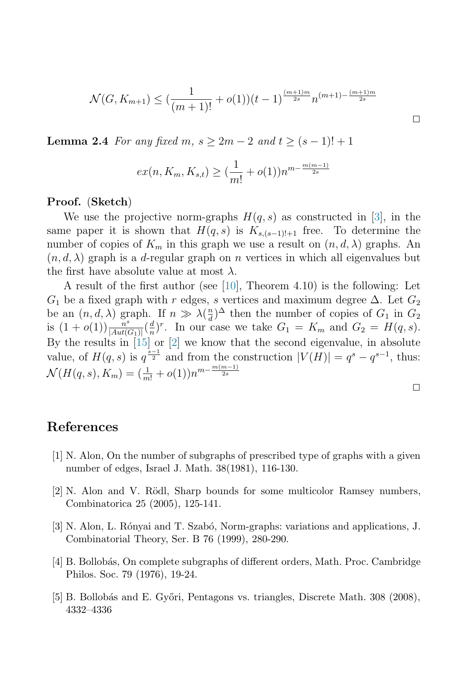$$
\mathcal{N}(G, K_{m+1}) \le \left(\frac{1}{(m+1)!} + o(1)\right)(t-1)^{\frac{(m+1)m}{2s}} n^{(m+1) - \frac{(m+1)m}{2s}}
$$

**Lemma 2.4** For any fixed m,  $s \geq 2m - 2$  and  $t \geq (s - 1)! + 1$ 

$$
ex(n, K_m, K_{s,t}) \geq \left(\frac{1}{m!} + o(1)\right) n^{m - \frac{m(m-1)}{2s}}
$$

#### Proof. (Sketch)

We use the projective norm-graphs  $H(q, s)$  as constructed in [\[3\]](#page-5-3), in the same paper it is shown that  $H(q, s)$  is  $K_{s,(s-1)!+1}$  free. To determine the number of copies of  $K_m$  in this graph we use a result on  $(n, d, \lambda)$  graphs. An  $(n, d, \lambda)$  graph is a d-regular graph on n vertices in which all eigenvalues but the first have absolute value at most  $\lambda$ .

A result of the first author (see [\[10\]](#page-6-8), Theorem 4.10) is the following: Let  $G_1$  be a fixed graph with r edges, s vertices and maximum degree  $\Delta$ . Let  $G_2$ be an  $(n, d, \lambda)$  graph. If  $n \gg \lambda(\frac{n}{d})^{\Delta}$  then the number of copies of  $G_1$  in  $G_2$ is  $(1+o(1))\frac{n^{s}}{|Aut(G_1)|}(\frac{d}{n})^r$ . In our case we take  $G_1 = K_m$  and  $G_2 = H(q, s)$ . By the results in  $\tilde{15}$  or  $\tilde{2}$  we know that the second eigenvalue, in absolute value, of  $H(q, s)$  is  $q^{\frac{s-1}{2}}$  and from the construction  $|V(H)| = q^s - q^{s-1}$ , thus:  $\mathcal{N}(H(q,s), K_m) = (\frac{1}{m!} + o(1))n^{m - \frac{m(m-1)}{2s}}$ 

 $\Box$ 

## <span id="page-5-4"></span><span id="page-5-2"></span>References

- <span id="page-5-3"></span>[1] N. Alon, On the number of subgraphs of prescribed type of graphs with a given number of edges, Israel J. Math. 38(1981), 116-130.
- <span id="page-5-0"></span>[2] N. Alon and V. Rödl, Sharp bounds for some multicolor Ramsey numbers, Combinatorica 25 (2005), 125-141.
- <span id="page-5-1"></span>[3] N. Alon, L. Rónyai and T. Szabó, Norm-graphs: variations and applications, J. Combinatorial Theory, Ser. B 76 (1999), 280-290.
- [4] B. Bollob´as, On complete subgraphs of different orders, Math. Proc. Cambridge Philos. Soc. 79 (1976), 19-24.
- [5] B. Bollobás and E. Győri, Pentagons vs. triangles, Discrete Math. 308 (2008), 4332–4336

 $\Box$